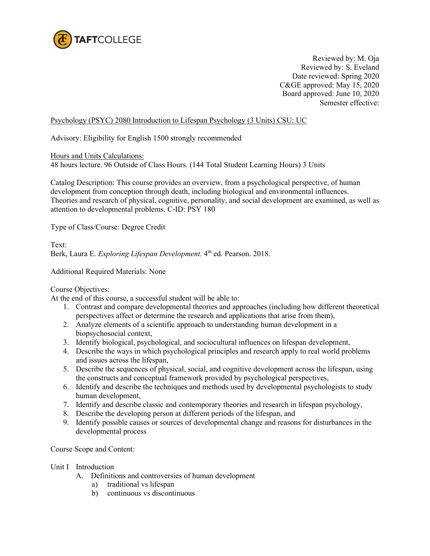

Reviewed by: M. Oja Reviewed by: S. Eveland Date reviewed: Spring 2020 C&GE approved: May 15, 2020 Board approved: June 10, 2020 Semester effective:

Psychology (PSYC) 2080 Introduction to Lifespan Psychology (3 Units) CSU: UC

Advisory: Eligibility for English 1500 strongly recommended

Hours and Units Calculations:

48 hours lecture. 96 Outside of Class Hours. (144 Total Student Learning Hours) 3 Units

Catalog Description: This course provides an overview, from a psychological perspective, of human development from conception through death, including biological and environmental influences. Theories and research of physical, cognitive, personality, and social development are examined, as well as attention to developmental problems. C-ID: PSY 180

Type of Class/Course: Degree Credit

Text: Berk, Laura E. *Exploring Lifespan Development*. 4<sup>th</sup> ed. Pearson. 2018.

Additional Required Materials: None

Course Objectives:

At the end of this course, a successful student will be able to:

- 1. Contrast and compare developmental theories and approaches (including how different theoretical perspectives affect or determine the research and applications that arise from them),
- 2. Analyze elements of a scientific approach to understanding human development in a biopsychosocial context,
- 3. Identify biological, psychological, and sociocultural influences on lifespan development,
- 4. Describe the ways in which psychological principles and research apply to real world problems and issues across the lifespan,
- 5. Describe the sequences of physical, social, and cognitive development across the lifespan, using the constructs and conceptual framework provided by psychological perspectives,
- 6. Identify and describe the techniques and methods used by developmental psychologists to study human development,
- 7. Identify and describe classic and contemporary theories and research in lifespan psychology,
- 8. Describe the developing person at different periods of the lifespan, and
- 9. Identify possible causes or sources of developmental change and reasons for disturbances in the developmental process

Course Scope and Content:

#### Unit I Introduction

- A. Definitions and controversies of human development
	- a) traditional vs lifespan
	- b) continuous vs discontinuous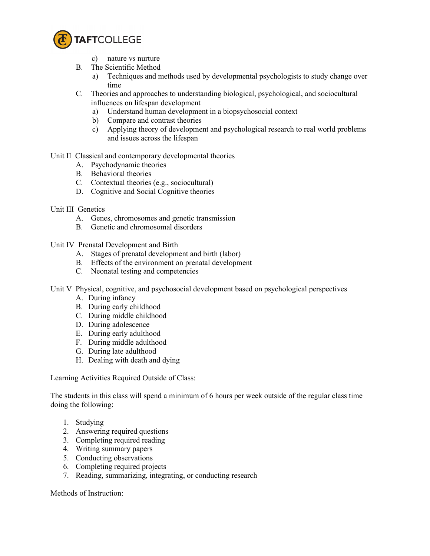

c) nature vs nurture

- B. The Scientific Method
	- a) Techniques and methods used by developmental psychologists to study change over time
- C. Theories and approaches to understanding biological, psychological, and sociocultural influences on lifespan development
	- a) Understand human development in a biopsychosocial context
	- b) Compare and contrast theories
	- c) Applying theory of development and psychological research to real world problems and issues across the lifespan

### Unit II Classical and contemporary developmental theories

- A. Psychodynamic theories
- B. Behavioral theories
- C. Contextual theories (e.g., sociocultural)
- D. Cognitive and Social Cognitive theories
- Unit III Genetics
	- A. Genes, chromosomes and genetic transmission
	- B. Genetic and chromosomal disorders

Unit IV Prenatal Development and Birth

- A. Stages of prenatal development and birth (labor)
- B. Effects of the environment on prenatal development
- C. Neonatal testing and competencies

Unit V Physical, cognitive, and psychosocial development based on psychological perspectives

- A. During infancy
- B. During early childhood
- C. During middle childhood
- D. During adolescence
- E. During early adulthood
- F. During middle adulthood
- G. During late adulthood
- H. Dealing with death and dying

Learning Activities Required Outside of Class:

The students in this class will spend a minimum of 6 hours per week outside of the regular class time doing the following:

- 1. Studying
- 2. Answering required questions
- 3. Completing required reading
- 4. Writing summary papers
- 5. Conducting observations
- 6. Completing required projects
- 7. Reading, summarizing, integrating, or conducting research

Methods of Instruction: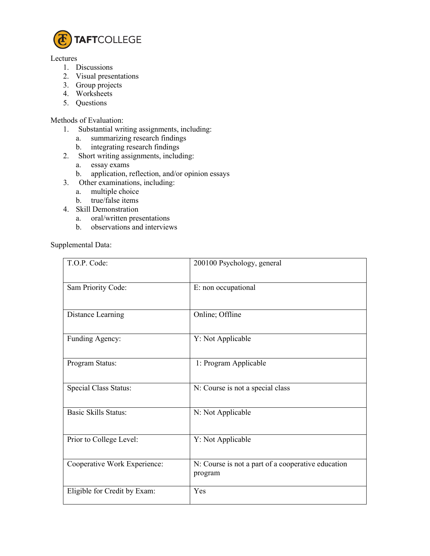

#### Lectures

- 1. Discussions
- 2. Visual presentations
- 3. Group projects
- 4. Worksheets
- 5. Questions

## Methods of Evaluation:

- 1. Substantial writing assignments, including:
	- a. summarizing research findings
	- b. integrating research findings
- 2. Short writing assignments, including:
	- a. essay exams<br>b. application, r
	- application, reflection, and/or opinion essays
- 3. Other examinations, including:
	- a. multiple choice
	- b. true/false items
- 4. Skill Demonstration
	- a. oral/written presentations
	- b. observations and interviews

# Supplemental Data:

| T.O.P. Code:                 | 200100 Psychology, general                                    |
|------------------------------|---------------------------------------------------------------|
| Sam Priority Code:           | E: non occupational                                           |
| Distance Learning            | Online; Offline                                               |
| Funding Agency:              | Y: Not Applicable                                             |
| Program Status:              | 1: Program Applicable                                         |
| Special Class Status:        | N: Course is not a special class                              |
| <b>Basic Skills Status:</b>  | N: Not Applicable                                             |
| Prior to College Level:      | Y: Not Applicable                                             |
| Cooperative Work Experience: | N: Course is not a part of a cooperative education<br>program |
| Eligible for Credit by Exam: | Yes                                                           |